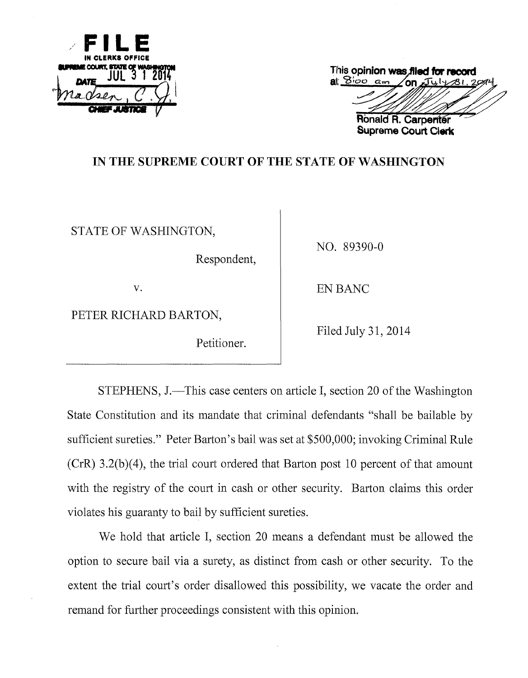

| This opinion was filed for record |                     |  |
|-----------------------------------|---------------------|--|
| at $800$ am / on $I4/81.2994$     |                     |  |
|                                   |                     |  |
|                                   |                     |  |
|                                   | Ronald R. Carpenter |  |

**Supreme Court Clerk** 

# **IN THE SUPREME COURT OF THE STATE OF WASHINGTON**

STATE OF WASHINGTON,

Respondent,

NO. 89390-0

PETER RICHARD BARTON,

Petitioner.

v. BANC

Filed July 31, 2014

STEPHENS, J.—This case centers on article I, section 20 of the Washington State Constitution and its mandate that criminal defendants "shall be bailable by sufficient sureties." Peter Barton's bail was set at \$500,000; invoking Criminal Rule (CrR) 3.2(b)(4), the trial court ordered that Barton post 10 percent of that amount with the registry of the court in cash or other security. Barton claims this order violates his guaranty to bail by sufficient sureties.

We hold that article I, section 20 means a defendant must be allowed the option to secure bail via a surety, as distinct from cash or other security. To the extent the trial court's order disallowed this possibility, we vacate the order and remand for further proceedings consistent with this opinion.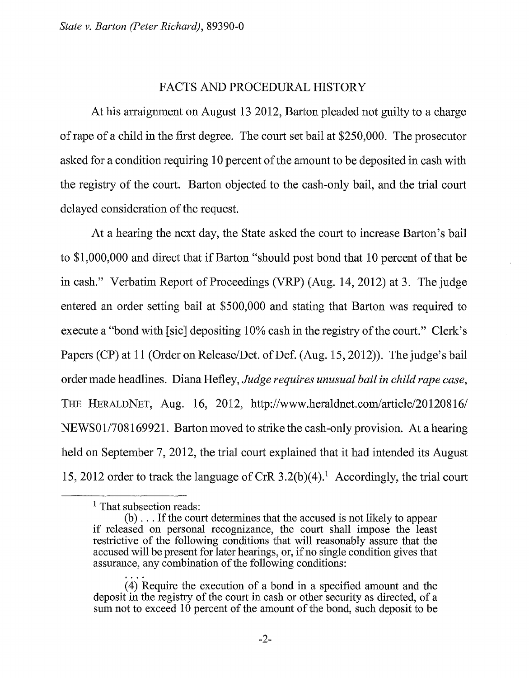### FACTS AND PROCEDURAL HISTORY

At his arraignment on August 13 2012, Barton pleaded not guilty to a charge of rape of a child in the first degree. The court set bail at \$250,000. The prosecutor asked for a condition requiring 10 percent of the amount to be deposited in cash with the registry of the court. Barton objected to the cash-only bail, and the trial court delayed consideration of the request.

At a hearing the next day, the State asked the court to increase Barton's bail to \$1,000,000 and direct that if Barton "should post bond that 10 percent of that be in cash." Verbatim Report of Proceedings (VRP) (Aug. 14, 2012) at 3. The judge entered an order setting bail at \$500,000 and stating that Barton was required to execute a "bond with [sic] depositing 10% cash in the registry of the court." Clerk's Papers (CP) at 11 (Order on Release/Det. of Def. (Aug. 15, 2012)). The judge's bail order made headlines. Diana Hefley, *Judge requires unusual bail in child rape case,*  THE HERALDNET, Aug. 16, 2012, http://www.heraldnet.com/article/20120816/ NEWS01/708169921. Barton moved to strike the cash-only provision. At a hearing held on September 7, 2012, the trial court explained that it had intended its August 15, 2012 order to track the language of CrR 3.2(b)(4).<sup>1</sup> Accordingly, the trial court

<sup>&</sup>lt;sup>1</sup> That subsection reads:

<sup>(</sup>b) ... If the court determines that the accused is not likely to appear if released on personal recognizance, the court shall impose the least restrictive of the following conditions that will reasonably assure that the accused will be present for later hearings, or, if no single condition gives that assurance, any combination of the following conditions:

<sup>(4)</sup> Require the execution of a bond in a specified amount and the deposit in the registry of the court in cash or other security as directed, of a sum not to exceed 10 percent of the amount of the bond, such deposit to be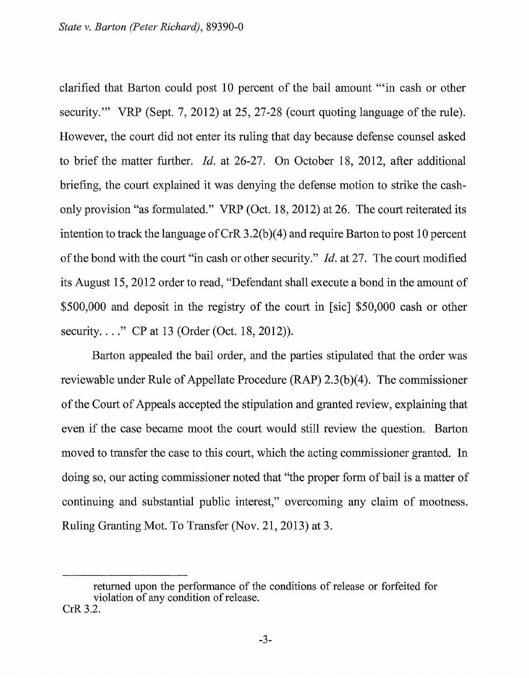clarified that Barton could post 10 percent of the bail amount "'in cash or other security." VRP (Sept. 7, 2012) at 25, 27-28 (court quoting language of the rule). However, the court did not enter its ruling that day because defense counsel asked to brief the matter further. *!d.* at 26-27. On October 18, 2012, after additional briefing, the court explained it was denying the defense motion to strike the cashonly provision "as formulated." VRP (Oct. 18, 2012) at 26. The court reiterated its intention to track the language of CrR  $3.2(b)(4)$  and require Barton to post 10 percent of the bond with the court "in cash or other security." *!d.* at 27. The court modified its August 15, 2012 order to read, "Defendant shall execute a bond in the amount of \$500,000 and deposit in the registry of the court in [sic] \$50,000 cash or other security...." CP at 13 (Order (Oct. 18, 2012)).

Barton appealed the bail order, and the parties stipulated that the order was reviewable under Rule of Appellate Procedure (RAP) 2.3(b)(4). The commissioner of the Court of Appeals accepted the stipulation and granted review, explaining that even if the case became moot the court would still review the question. Barton moved to transfer the case to this court, which the acting commissioner granted. In doing so, our acting commissioner noted that "the proper form of bail is a matter of continuing and substantial public interest," overcoming any claim of mootness. Ruling Granting Mot. To Transfer (Nov. 21, 2013) at 3.

returned upon the performance of the conditions of release or forfeited for violation of any condition of release. CrR 3.2.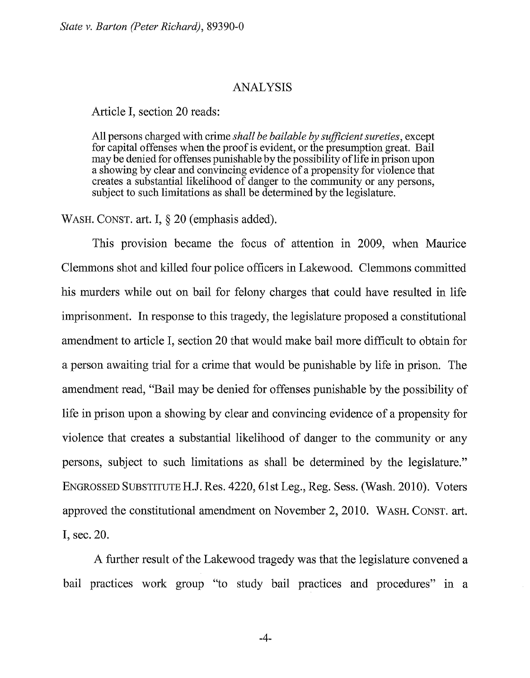*State v. Barton (Peter Richard),* 89390-0

#### ANALYSIS

Article I, section 20 reads:

All persons charged with crime *shall be bailable by sufficient sureties,* except for capital offenses when the proof is evident, or the presumption great. Bail may be denied for offenses punishable by the possibility of life in prison upon a showing by clear and convincing evidence of a propensity for violence that creates a substantial likelihood of danger to the community or any persons, subject to such limitations as shall be determined by the legislature.

WASH. CONST. art. I, § 20 (emphasis added).

This provision became the focus of attention in 2009, when Maurice Clemmons shot and killed four police officers in Lakewood. Clemmons committed his murders while out on bail for felony charges that could have resulted in life imprisonment. In response to this tragedy, the legislature proposed a constitutional amendment to article I, section 20 that would make bail more difficult to obtain for a person awaiting trial for a crime that would be punishable by life in prison. The amendment read, "Bail may be denied for offenses punishable by the possibility of life in prison upon a showing by clear and convincing evidence of a propensity for violence that creates a substantial likelihood of danger to the community or any persons, subject to such limitations as shall be determined by the legislature." ENGROSSED SUBSTITUTEH.J. Res. 4220, 61st Leg., Reg. Sess. (Wash. 2010). Voters approved the constitutional amendment on November 2, 2010. WASH. CONST. art. I, sec. 20.

A further result of the Lakewood tragedy was that the legislature convened a bail practices work group "to study bail practices and procedures" in a

-4-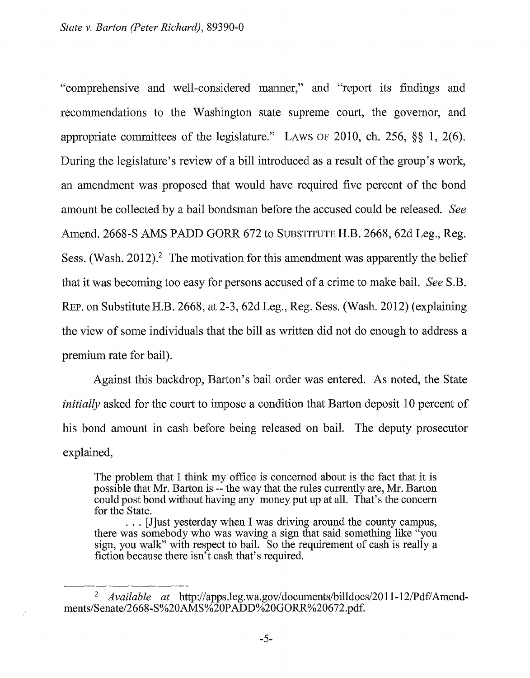"comprehensive and well-considered manner," and "report its findings and recommendations to the Washington state supreme court, the governor, and appropriate committees of the legislature." LAWS OF 2010, ch. 256, §§ 1, 2(6). During the legislature's review of a bill introduced as a result of the group's work, an amendment was proposed that would have required five percent of the bond amount be collected by a bail bondsman before the accused could be released. *See*  Amend. 2668-S AMS PADD GORR 672 to SUBSTITUTE H.B. 2668, 62d Leg., Reg. Sess. (Wash. 2012).<sup>2</sup> The motivation for this amendment was apparently the belief that it was becoming too easy for persons accused of a crime to make bail. *See* S.B. REP. on Substitute H.B. 2668, at 2-3, 62d Leg., Reg. Sess. (Wash. 2012) (explaining the view of some individuals that the bill as written did not do enough to address a premium rate for bail).

Against this backdrop, Barton's bail order was entered. As noted, the State *initially* asked for the court to impose a condition that Barton deposit 10 percent of his bond amount in cash before being released on bail. The deputy prosecutor explained,

The problem that I think my office is concerned about is the fact that it is possible that Mr. Barton is-- the way that the rules currently are, Mr. Barton could post bond without having any money put up at all. That's the concern for the State.

. . . [J]ust yesterday when I was driving around the county campus, there was somebody who was waving a sign that said something like "you sign, you walk" with respect to bail. So the requirement of cash is really a fiction because there isn't cash that's required.

<sup>&</sup>lt;sup>2</sup> *Available at http://apps.leg.wa.gov/documents/billdocs/2011-12/Pdf/Amend*ments/Senate/2668-S%20AMS%20PADD%20GORR%20672.pdf.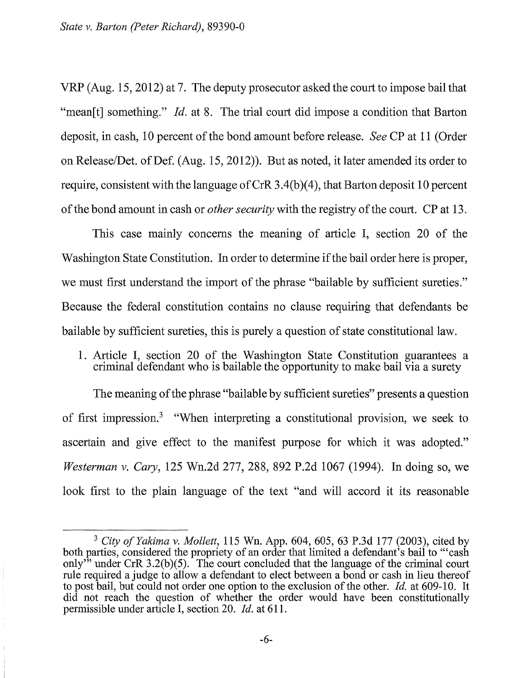VRP (Aug. 15, 2012) at 7. The deputy prosecutor asked the court to impose bail that "mean<sup>[t]</sup> something." *Id.* at 8. The trial court did impose a condition that Barton deposit, in cash, 10 percent of the bond amount before release. *See* CP at 11 (Order on Release/Det. of Def. (Aug. 15, 2012)). But as noted, it later amended its order to require, consistent with the language of CrR  $3.4(b)(4)$ , that Barton deposit 10 percent of the bond amount in cash or *other security* with the registry of the court. CP at 13.

This case mainly concerns the meaning of article I, section 20 of the Washington State Constitution. In order to determine if the bail order here is proper, we must first understand the import of the phrase "bailable by sufficient sureties." Because the federal constitution contains no clause requiring that defendants be bailable by sufficient sureties, this is purely a question of state constitutional law.

# 1. Article I, section 20 of the Washington State Constitution guarantees a criminal defendant who is bailable the opportunity to make bail via a surety

The meaning of the phrase "bailable by sufficient sureties" presents a question of first impression.<sup>3</sup> "When interpreting a constitutional provision, we seek to ascertain and give effect to the manifest purpose for which it was adopted." *Westerman* v. *Cary,* 125 Wn.2d 277, 288, 892 P.2d 1067 (1994). In doing so, we look first to the plain language of the text "and will accord it its reasonable

<sup>&</sup>lt;sup>3</sup> City of Yakima v. Mollett, 115 Wn. App. 604, 605, 63 P.3d 177 (2003), cited by both parties, considered the propriety of an order that limited a defendant's bail to '"cash only<sup>33</sup> under CrR 3.2(b)(5). The court concluded that the language of the criminal court rule required a judge to allow a defendant to elect between a bond or cash in lieu thereof to post bail, but could not order one option to the exclusion of the other. *!d.* at 609-10. It did not reach the question of whether the order would have been constitutionally permissible under article I, section 20. *!d.* at 611.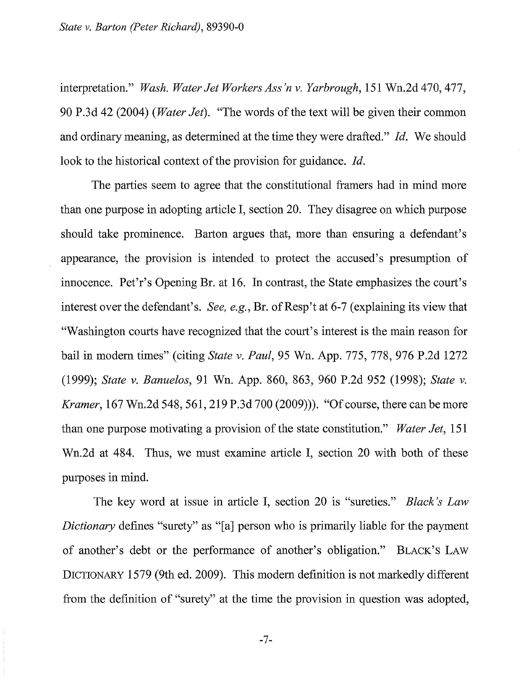interpretation." *Wash. Water Jet Workers Ass 'n v. Yarbrough,* 151 Wn.2d 470,477, 90 P.3d 42 (2004) *(Water Jet).* "The words of the text will be given their common and ordinary meaning, as determined at the time they were drafted." *Id.* We should look to the historical context of the provision for guidance. *Id.* 

The parties seem to agree that the constitutional framers had in mind more than one purpose in adopting article I, section 20. They disagree on which purpose should take prominence. Barton argues that, more than ensuring a defendant's appearance, the provision is intended to protect the accused's presumption of innocence. Pet'r's Opening Br. at 16. In contrast, the State emphasizes the court's interest over the defendant's. *See, e.g.*, Br. of Resp't at 6-7 (explaining its view that "Washington courts have recognized that the court's interest is the main reason for bail in modem times" (citing *State v. Paul,* 95 Wn. App. 775, 778, 976 P.2d 1272 (1999); *State v. Banuelos,* 91 Wn. App. 860, 863, 960 P.2d 952 (1998); *State v. Kramer*, 167 Wn.2d 548, 561, 219 P.3d 700 (2009)). "Of course, there can be more than one purpose motivating a provision of the state constitution." *Water Jet,* 151 Wn.2d at 484. Thus, we must examine article I, section 20 with both of these purposes in mind.

The key word at issue in article I, section 20 is "sureties." *Black's Law Dictionary* defines "surety" as "[a] person who is primarily liable for the payment of another's debt or the performance of another's obligation." BLACK'S LAW DICTIONARY 1579 (9th ed. 2009). This modem definition is not markedly different from the definition of "surety" at the time the provision in question was adopted,

-7-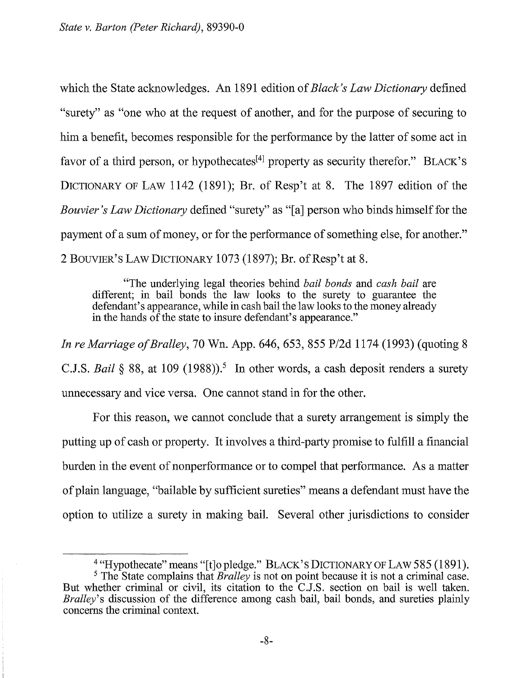which the State acknowledges. An 1891 edition of *Black's Law Dictionary* defined "surety" as "one who at the request of another, and for the purpose of securing to him a benefit, becomes responsible for the performance by the latter of some act in favor of a third person, or hypothecates<sup>[4]</sup> property as security therefor." BLACK's DICTIONARY OF LAW 1142 (1891); Br. of Resp't at 8. The 1897 edition of the *Bouvier's Law Dictionary* defined "surety" as "[a] person who binds himself for the payment of a sum of money, or for the performance of something else, for another." 2 BOUVIER'S LAW DICTIONARY 1073 (1897); Br. of Resp't at 8.

"The underlying legal theories behind *bail bonds* and *cash bail* are different; in bail bonds the law looks to the surety to guarantee the defendant's appearance, while in cash bail the law looks to the money already in the hands  $\hat{of}$  the state to insure defendant's appearance."

*In reMarriage of Bralley,* 70 Wn. App. 646, 653, 855 P/2d 1174 (1993) (quoting 8 C.J.S. *Bail* § 88, at 109 (1988)).<sup>5</sup> In other words, a cash deposit renders a surety unnecessary and vice versa. One cannot stand in for the other.

For this reason, we cannot conclude that a surety arrangement is simply the putting up of cash or property. It involves a third-party promise to fulfill a financial burden in the event of nonperformance or to compel that performance. As a matter of plain language, "bailable by sufficient sureties" means a defendant must have the option to utilize a surety in making bail. Several other jurisdictions to consider

<sup>4 &</sup>quot;Hypothecate" means "[t]opledge." BLACK'S DICTIONARY OF LAW 585 (1891).

<sup>&</sup>lt;sup>5</sup> The State complains that *Bralley* is not on point because it is not a criminal case. But whether criminal or civil, its citation to the C.J.S. section on bail is well taken. *Bralley's* discussion of the difference among cash bail, bail bonds, and sureties plainly concerns the criminal context.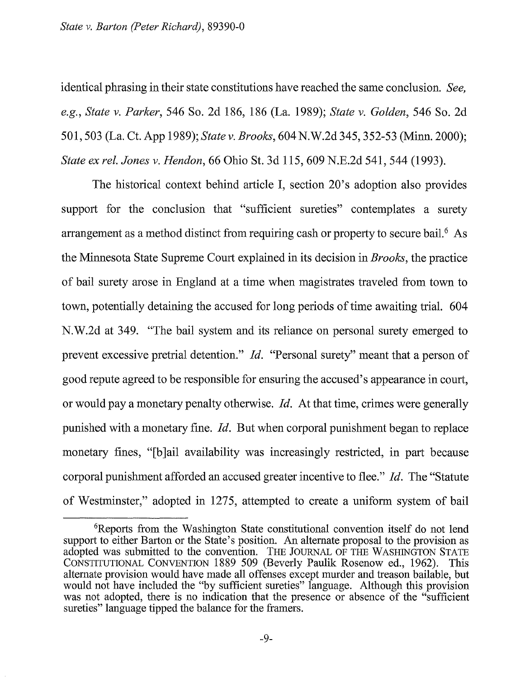identical phrasing in their state constitutions have reached the same conclusion. *See, e.g., State v. Parker,* 546 So. 2d 186, 186 (La. 1989); *State v. Golden,* 546 So. 2d 501, 503 (La. Ct. App 1989); *State v. Brooks,* 604 N.W.2d 345, 352-53 (Minn. 2000); *State ex rel. Jones v. Hendon,* 66 Ohio St. 3d 115, 609 N.E.2d 541, 544 (1993).

The historical context behind article I, section 20's adoption also provides support for the conclusion that "sufficient sureties" contemplates a surety arrangement as a method distinct from requiring cash or property to secure bail.<sup>6</sup> As the Minnesota State Supreme Court explained in its decision in *Brooks,* the practice of bail surety arose in England at a time when magistrates traveled from town to town, potentially detaining the accused for long periods of time awaiting trial. 604 N.W.2d at 349. "The bail system and its reliance on personal surety emerged to prevent excessive pretrial detention." *!d.* "Personal surety" meant that a person of good repute agreed to be responsible for ensuring the accused's appearance in court, or would pay a monetary penalty otherwise. *!d.* At that time, crimes were generally punished with a monetary fine. *!d.* But when corporal punishment began to replace monetary fines, "[b]ail availability was increasingly restricted, in part because corporal punishment afforded an accused greater incentive to flee." *!d.* The "Statute of Westminster," adopted in 1275, attempted to create a uniform system of bail

<sup>6</sup> Reports from the Washington State constitutional convention itself do not lend support to either Barton or the State's position. An alternate proposal to the provision as adopted was submitted to the convention. THE JOURNAL OF THE WASHINGTON STATE CONSTITUTIONAL CONVENTION 1889 509 (Beverly Paulik Rosenow ed., 1962). This alternate provision would have made all offenses except murder and treason bailable, but would not have included the "by sufficient sureties" language. Although this provision was not adopted, there is no indication that the presence or absence of the "sufficient sureties" language tipped the balance for the framers.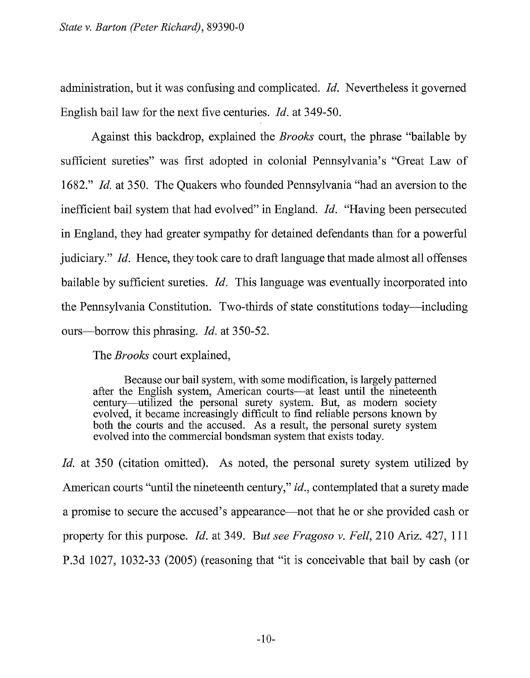administration, but it was confusing and complicated. *!d.* Nevertheless it governed English bail law for the next five centuries. *!d.* at 349-50.

Against this backdrop, explained the *Brooks* court, the phrase "bailable by sufficient sureties" was first adopted in colonial Pennsylvania's "Great Law of 1682." *!d.* at 350. The Quakers who founded Pennsylvania "had an aversion to the inefficient bail system that had evolved" in England. *!d.* "Having been persecuted in England, they had greater sympathy for detained defendants than for a powerful judiciary." *!d.* Hence, they took care to draft language that made almost all offenses bailable by sufficient sureties. *!d.* This language was eventually incorporated into the Pennsylvania Constitution. Two-thirds of state constitutions today-including ours-borrow this phrasing. *!d.* at 350-52.

The *Brooks* court explained,

Because our bail system, with some modification, is largely patterned after the English system, American courts-at least until the nineteenth century-utilized the personal surety system. But, as modem society evolved, it became increasingly difficult to fmd reliable persons known by both the courts and the accused. As a result, the personal surety system evolved into the commercial bondsman system that exists today.

*Id.* at 350 (citation omitted). As noted, the personal surety system utilized by American courts "until the nineteenth century," *id.,* contemplated that a surety made a promise to secure the accused's appearance-not that he or she provided cash or property for this purpose. *Id.* at 349. *But see Fragoso v. Fell,* 210 Ariz. 427, 111 P .3d 1027, 1032-33 (2005) (reasoning that "it is conceivable that bail by cash (or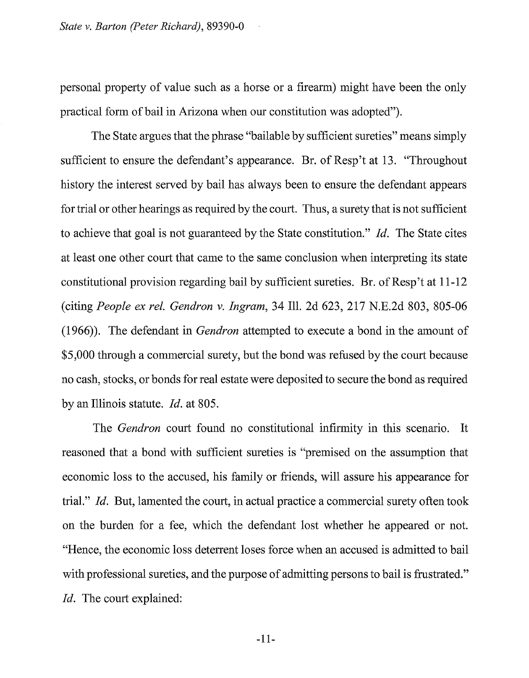personal property of value such as a horse or a firearm) might have been the only practical form of bail in Arizona when our constitution was adopted").

The State argues that the phrase "bailable by sufficient sureties" means simply sufficient to ensure the defendant's appearance. Br. of Resp't at 13. "Throughout history the interest served by bail has always been to ensure the defendant appears for trial or other hearings as required by the court. Thus, a surety that is not sufficient to achieve that goal is not guaranteed by the State constitution." *Id.* The State cites at least one other court that came to the same conclusion when interpreting its state constitutional provision regarding bail by sufficient sureties. Br. of Resp't at  $11\n-12$ (citing *People ex rel. Gendron v. Ingram,* 34 Ill. 2d 623, 217 N.E.2d 803, 805-06 (1966)). The defendant in *Gendron* attempted to execute a bond in the amount of \$5,000 through a commercial surety, but the bond was refused by the court because no cash, stocks, or bonds for real estate were deposited to secure the bond as required by an Illinois statute. *Id.* at 805.

The *Gendron* court found no constitutional infirmity in this scenario. It reasoned that a bond with sufficient sureties is "premised on the assumption that economic loss to the accused, his family or friends, will assure his appearance for trial." *Id.* But, lamented the court, in actual practice a commercial surety often took on the burden for a fee, which the defendant lost whether he appeared or not. "Hence, the economic loss deterrent loses force when an accused is admitted to bail with professional sureties, and the purpose of admitting persons to bail is frustrated." *Id.* The court explained: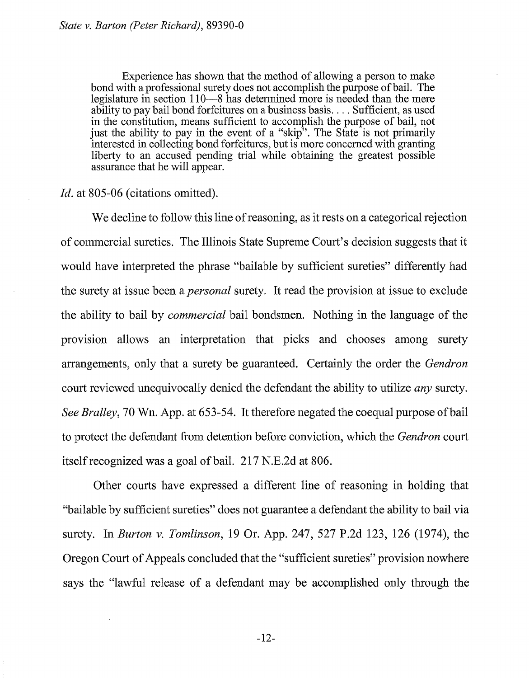Experience has shown that the method of allowing a person to make bond with a professional surety does not accomplish the purpose of bail. The legislature in section 110-8 has determined more is needed than the mere ability to pay bail bond forfeitures on a business basis .... Sufficient, as used in the constitution, means sufficient to accomplish the purpose of bail, not just the ability to pay in the event of a "skip". The State is not primarily interested in collecting bond forfeitures, but is more concerned with granting liberty to an accused pending trial while obtaining the greatest possible assurance that he will appear.

# *Id.* at 805-06 (citations omitted).

We decline to follow this line of reasoning, as it rests on a categorical rejection of commercial sureties. The Illinois State Supreme Court's decision suggests that it would have interpreted the phrase "bailable by sufficient sureties" differently had the surety at issue been a *personal* surety. It read the provision at issue to exclude the ability to bail by *commercial* bail bondsmen. Nothing in the language of the provision allows an interpretation that picks and chooses among surety arrangements, only that a surety be guaranteed. Certainly the order the *Gendron*  court reviewed unequivocally denied the defendant the ability to utilize *any* surety. *See Bralley,* 70 Wn. App. at 653-54. It therefore negated the coequal purpose of bail to protect the defendant from detention before conviction, which the *Gendron* court itself recognized was a goal of bail. 217 N.E.2d at 806.

Other courts have expressed a different line of reasoning in holding that "bailable by sufficient sureties" does not guarantee a defendant the ability to bail via surety. In *Burton v. Tomlinson,* 19 Or. App. 247, 527 P.2d 123, 126 (1974), the Oregon Court of Appeals concluded that the "sufficient sureties" provision nowhere says the "lawful release of a defendant may be accomplished only through the

-12-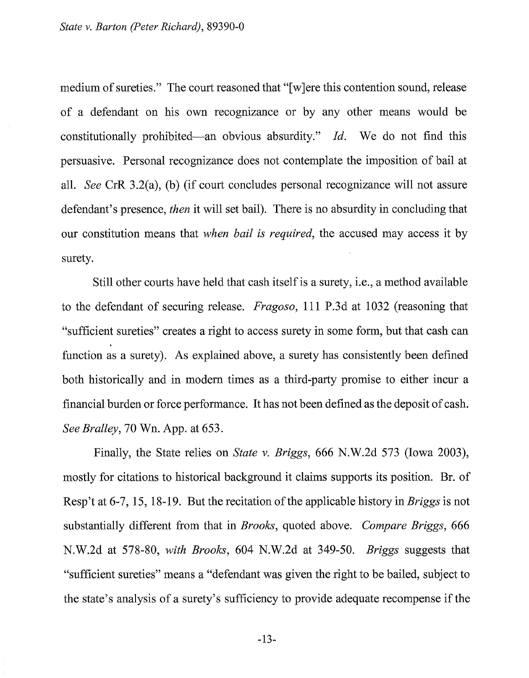medium of sureties." The court reasoned that "[w]ere this contention sound, release of a defendant on his own recognizance or by any other means would be constitutionally prohibited-an obvious absurdity." *Id.* We do not find this persuasive. Personal recognizance does not contemplate the imposition of bail at all. *See* CrR 3.2(a), (b) (if court concludes personal recognizance will not assure defendant's presence, *then* it will set bail). There is no absurdity in concluding that our constitution means that *when bail is required,* the accused may access it by surety.

Still other courts have held that cash itself is a surety, i.e., a method available to the defendant of securing release. *Fragoso,* 111 P.3d at 1032 (reasoning that "sufficient sureties" creates a right to access surety in some form, but that cash can function as a surety). As explained above, a surety has consistently been defined both historically and in modern times as a third-party promise to either incur a financial burden or force performance. It has not been defined as the deposit of cash. *See Bralley,* 70 Wn. App. at 653.

Finally, the State relies on *State v. Briggs,* 666 N.W.2d 573 (Iowa 2003), mostly for citations to historical background it claims supports its position. Br. of Resp't at 6-7, 15, 18-19. But the recitation of the applicable history in *Briggs* is not substantially different from that in *Brooks,* quoted above. *Compare Briggs,* 666 N.W.2d at 578-80, *with Brooks,* 604 N.W.2d at 349-50. *Briggs* suggests that "sufficient sureties" means a "defendant was given the right to be bailed, subject to the state's analysis of a surety's sufficiency to provide adequate recompense if the

-13-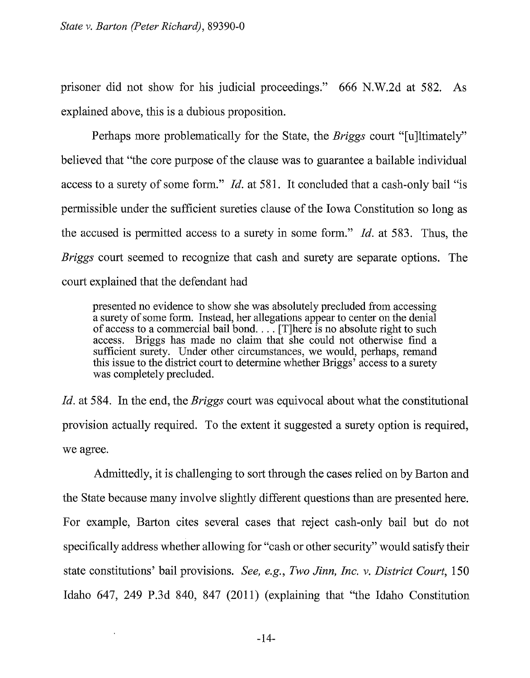prisoner did not show for his judicial proceedings." 666 N.W.2d at 582. As explained above, this is a dubious proposition.

Perhaps more problematically for the State, the *Briggs* court "[u]ltimately" believed that "the core purpose of the clause was to guarantee a bailable individual access to a surety of some form." *Id.* at 581. It concluded that a cash-only bail "is permissible under the sufficient sureties clause of the Iowa Constitution so long as the accused is permitted access to a surety in some form." *Id.* at 583. Thus, the *Briggs* court seemed to recognize that cash and surety are separate options. The court explained that the defendant had

presented no evidence to show she was absolutely precluded from accessing a surety of some form. Instead, her allegations appear to center on the denial of access to a commercial bail bond.  $\ldots$  [T]here is no absolute right to such access. Briggs has made no claim that she could not otherwise find a sufficient surety. Under other circumstances, we would, perhaps, remand this issue to the district court to determine whether Briggs' access to a surety was completely precluded.

*Id.* at 584. In the end, the *Briggs* court was equivocal about what the constitutional provision actually required. To the extent it suggested a surety option is required, we agree.

Admittedly, it is challenging to sort through the cases relied on by Barton and the State because many involve slightly different questions than are presented here. For example, Barton cites several cases that reject cash-only bail but do not specifically address whether allowing for "cash or other security" would satisfy their state constitutions' bail provisions. *See, e.g., Two Jinn, Inc. v. District Court,* 150 Idaho 647, 249 P.3d 840, 847 (2011) (explaining that "the Idaho Constitution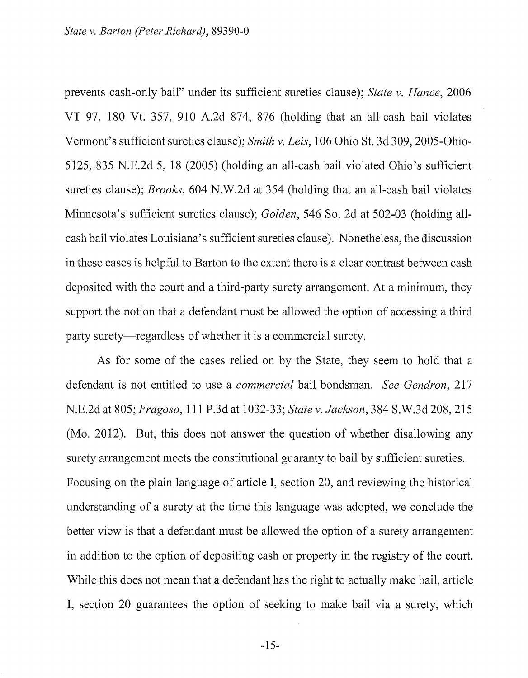prevents cash-only bail" under its sufficient sureties clause); *State v. Hance,* 2006 VT 97, 180 Vt. 357, 910 A.2d 874, 876 (holding that an all-cash bail violates Vermont's sufficient sureties clause); *Smith v. Leis,* 106 Ohio St. 3d 309, 2005-0hio-5125, 835 N.E.2d 5, 18 (2005) (holding an all-cash bail violated Ohio's sufficient sureties clause); *Brooks,* 604 N.W.2d at 354 (holding that an all-cash bail violates Minnesota's sufficient sureties clause); *Golden,* 546 So. 2d at 502-03 (holding allcash bail violates Louisiana's sufficient sureties clause). Nonetheless, the discussion in these cases is helpful to Barton to the extent there is a clear contrast between cash deposited with the court and a third-party surety arrangement. At a minimum, they support the notion that a defendant must be allowed the option of accessing a third party surety—regardless of whether it is a commercial surety.

As for some of the cases relied on by the State, they seem to hold that a defendant is not entitled to use a *commercial* bail bondsman. *See Gendron,* 217 N.E.2d at 805; *Fragoso,* 111 P.3d at 1032-33; *State v. Jackson,* 384 S.W.3d 208,215 (Mo. 2012). But, this does not answer the question of whether disallowing any surety arrangement meets the constitutional guaranty to bail by sufficient sureties. Focusing on the plain language of article I, section 20, and reviewing the historical understanding of a surety at the time this language was adopted, we conclude the better view is that a defendant must be allowed the option of a surety arrangement in addition to the option of depositing cash or property in the registry of the court. While this does not mean that a defendant has the right to actually make bail, article I, section 20 guarantees the option of seeking to make bail via a surety, which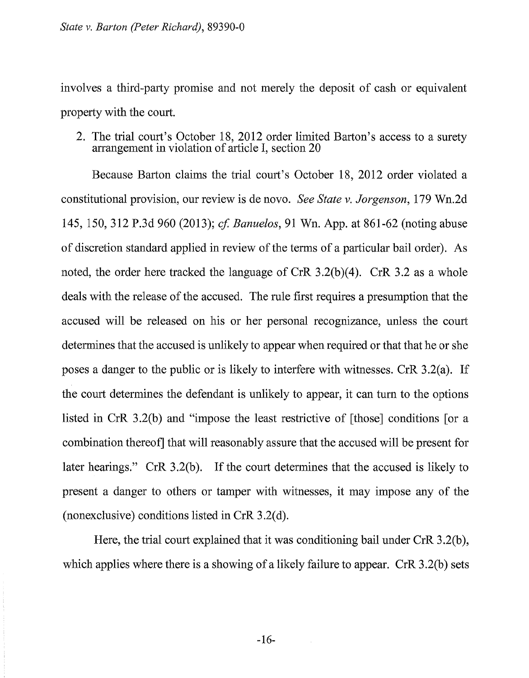involves a third-party promise and not merely the deposit of cash or equivalent property with the court.

2. The trial court's October 18, 2012 order limited Barton's access to a surety arrangement in violation of article I, section 20

Because Barton claims the trial court's October 18, 2012 order violated a constitutional provision, our review is de novo. *See State v. Jorgenson,* 179 Wn.2d 145, 150, 312 P.3d 960 (2013); *cf Banuelos,* 91 Wn. App. at 861-62 (noting abuse of discretion standard applied in review of the terms of a particular bail order). As noted, the order here tracked the language of CrR 3.2(b)(4). CrR 3.2 as a whole deals with the release of the accused. The rule first requires a presumption that the accused will be released on his or her personal recognizance, unless the court determines that the accused is unlikely to appear when required or that that he or she poses a danger to the public or is likely to interfere with witnesses. CrR 3.2(a). If the court determines the defendant is unlikely to appear, it can turn to the options listed in CrR 3.2(b) and "impose the least restrictive of [those] conditions [or a combination thereof] that will reasonably assure that the accused will be present for later hearings." CrR 3.2(b). If the court determines that the accused is likely to present a danger to others or tamper with witnesses, it may impose any of the (nonexclusive) conditions listed in CrR  $3.2(d)$ .

Here, the trial court explained that it was conditioning bail under CrR 3.2(b), which applies where there is a showing of a likely failure to appear. CrR 3.2(b) sets

-16-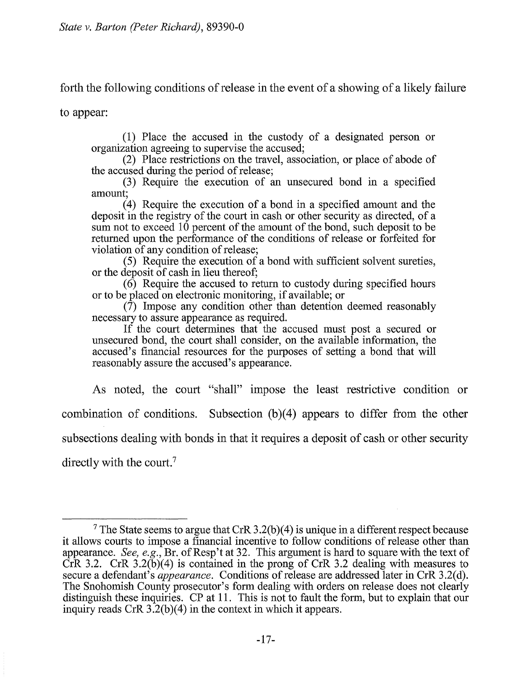forth the following conditions of release in the event of a showing of a likely failure

to appear:

(1) Place the accused in the custody of a designated person or organization agreeing to supervise the accused;

(2) Place restrictions on the travel, association, or place of abode of the accused during the period of release;

(3) Require the execution of an unsecured bond in a specified amount;

(4) Require the execution of a bond in a specified amount and the deposit in the registry of the court in cash or other security as directed, of a sum not to exceed 10 percent of the amount of the bond, such deposit to be returned upon the performance of the conditions of release or forfeited for violation of any condition of release;

( 5) Require the execution of a bond with sufficient solvent sureties, or the deposit of cash in lieu thereof;

 $(6)$  Require the accused to return to custody during specified hours or to be placed on electronic monitoring, if available; or

(7) Impose any condition other than detention deemed reasonably necessary to assure appearance as required.

If the court determines that the accused must post a secured or unsecured bond, the court shall consider, on the available information, the accused's financial resources for the purposes of setting a bond that will reasonably assure the accused's appearance.

As noted, the court "shall" impose the least restrictive condition or combination of conditions. Subsection (b)(4) appears to differ from the other subsections dealing with bonds in that it requires a deposit of cash or other security directly with the court.<sup>7</sup>

<sup>&</sup>lt;sup>7</sup> The State seems to argue that CrR 3.2(b)(4) is unique in a different respect because it allows courts to impose a financial incentive to follow conditions of release other than appearance. *See, e.g.*, Br. of Resp't at 32. This argument is hard to square with the text of CrR 3.2. CrR  $3.2(\tilde{b})(4)$  is contained in the prong of CrR 3.2 dealing with measures to secure a defendant's *appearance.* Conditions of release are addressed later in CrR 3.2(d). The Snohomish County prosecutor's form dealing with orders on release does not clearly distinguish these inquiries. CP at 11. This is not to fault the form, but to explain that our inquiry reads CrR 3.2(b)(4) in the context in which it appears.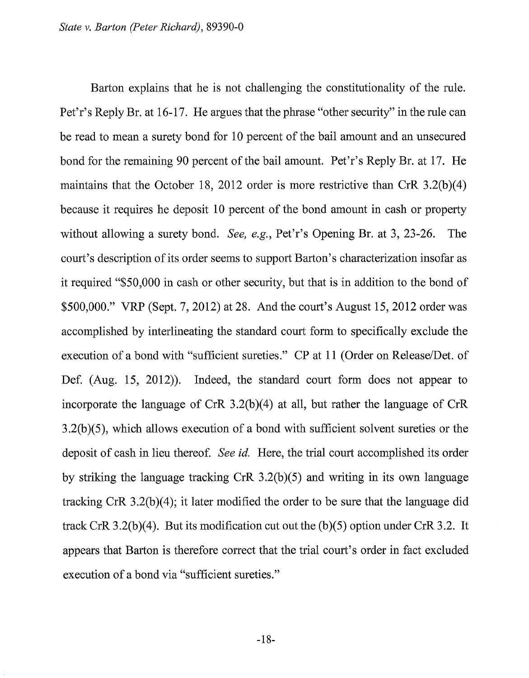Barton explains that he is not challenging the constitutionality of the rule. Pet'r's Reply Br. at 16-17. He argues that the phrase "other security" in the rule can be read to mean a surety bond for 10 percent of the bail amount and an unsecured bond for the remaining 90 percent of the bail amount. Pet'r's Reply Br. at 17. He maintains that the October 18, 2012 order is more restrictive than CrR 3.2(b)(4) because it requires he deposit 10 percent of the bond amount in cash or property without allowing a surety bond. *See, e.g.,* Pet'r's Opening Br. at 3, 23-26. The court's description of its order seems to support Barton's characterization insofar as it required "\$50,000 in cash or other security, but that is in addition to the bond of \$500,000." VRP (Sept. 7, 2012) at 28. And the court's August 15, 2012 order was accomplished by interlineating the standard court form to specifically exclude the execution of a bond with "sufficient sureties." CP at 11 (Order on Release/Det. of Def. (Aug. 15, 2012)). Indeed, the standard court form does not appear to incorporate the language of CrR 3.2(b)(4) at all, but rather the language of CrR 3.2(b)(5), which allows execution of a bond with sufficient solvent sureties or the deposit of cash in lieu thereof. *See id.* Here, the trial court accomplished its order by striking the language tracking CrR 3.2(b)(5) and writing in its own language tracking CrR 3.2(b)(4); it later modified the order to be sure that the language did track CrR 3.2(b)(4). But its modification cut out the (b)(5) option under CrR 3.2. It appears that Barton is therefore correct that the trial court's order in fact excluded execution of a bond via "sufficient sureties."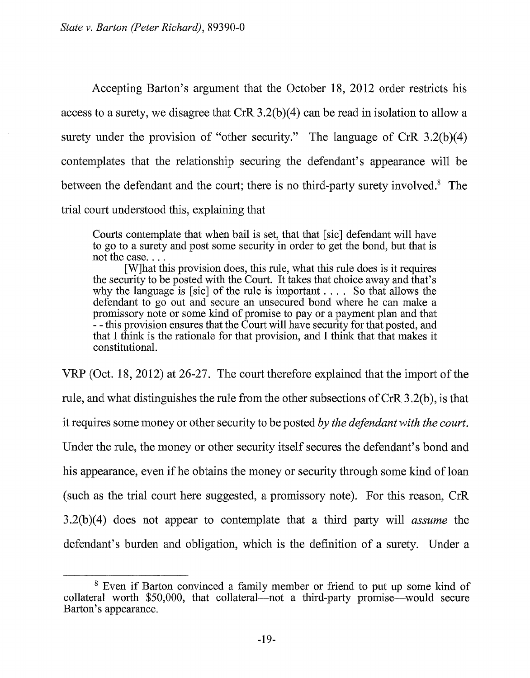Accepting Barton's argument that the October 18, 2012 order restricts his access to a surety, we disagree that CrR 3.2(b)(4) can be read in isolation to allow a surety under the provision of "other security." The language of CrR  $3.2(b)(4)$ contemplates that the relationship securing the defendant's appearance will be between the defendant and the court; there is no third-party surety involved.8 The trial court understood this, explaining that

Courts contemplate that when bail is set, that that [sic] defendant will have to go to a surety and post some security in order to get the bond, but that is

[W]hat this provision does, this rule, what this rule does is it requires the security to be posted with the Court. It takes that choice away and that's why the language is [sic] of the rule is important . . . . So that allows the defendant to go out and secure an unsecured bond where he can make a promissory note or some kind of promise to pay or a payment plan and that - - this provision ensures that the Court will have security for that posted, and that I think is the rationale for that provision, and I think that that makes it constitutional.

VRP (Oct. 18, 2012) at 26-27. The court therefore explained that the import of the rule, and what distinguishes the rule from the other subsections of CrR 3 .2(b ), is that it requires some money or other security to be posted *by the defendant with the court.*  Under the rule, the money or other security itself secures the defendant's bond and his appearance, even if he obtains the money or security through some kind of loan (such as the trial court here suggested, a promissory note). For this reason, CrR 3.2(b )( 4) does not appear to contemplate that a third party will *assume* the defendant's burden and obligation, which is the definition of a surety. Under a

<sup>8</sup> Even if Barton convinced a family member or friend to put up some kind of collateral worth  $$50,000$ , that collateral—not a third-party promise—would secure Barton's appearance.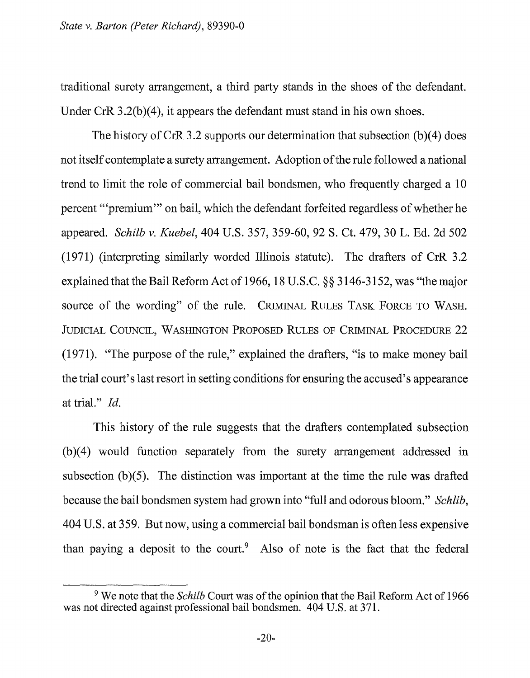traditional surety arrangement, a third party stands in the shoes of the defendant. Under CrR 3.2(b)(4), it appears the defendant must stand in his own shoes.

The history of CrR 3.2 supports our determination that subsection  $(b)(4)$  does not itself contemplate a surety arrangement. Adoption of the rule followed a national trend to limit the role of commercial bail bondsmen, who frequently charged a 10 percent "'premium'" on bail, which the defendant forfeited regardless of whether he appeared. *Schilb* v. *Kuebel,* 404 U.S. 357, 359-60, 92 S. Ct. 479, 30 L. Ed. 2d 502 (1971) (interpreting similarly worded Illinois statute). The drafters of CrR 3.2 explained that the Bail Reform Act of1966, 18 U.S.C. §§ 3146-3152, was "the major source of the wording" of the rule. CRIMINAL RULES TASK FORCE TO WASH. JUDICIAL COUNCIL, WASHINGTON PROPOSED RULES OF CRIMINAL PROCEDURE 22 (1971). "The purpose of the rule," explained the drafters, "is to make money bail the trial court's last resort in setting conditions for ensuring the accused's appearance at trial." *Id.* 

This history of the rule suggests that the drafters contemplated subsection  $(b)(4)$  would function separately from the surety arrangement addressed in subsection  $(b)(5)$ . The distinction was important at the time the rule was drafted because the bail bondsmen system had grown into "full and odorous bloom." *Schlib,*  404 U.S. at 359. But now, using a commercial bail bondsman is often less expensive than paying a deposit to the court.<sup>9</sup> Also of note is the fact that the federal

<sup>9</sup> We note that the *Schilb* Court was of the opinion that the Bail Reform Act of 1966 was not directed against professional bail bondsmen. 404 U.S. at 371.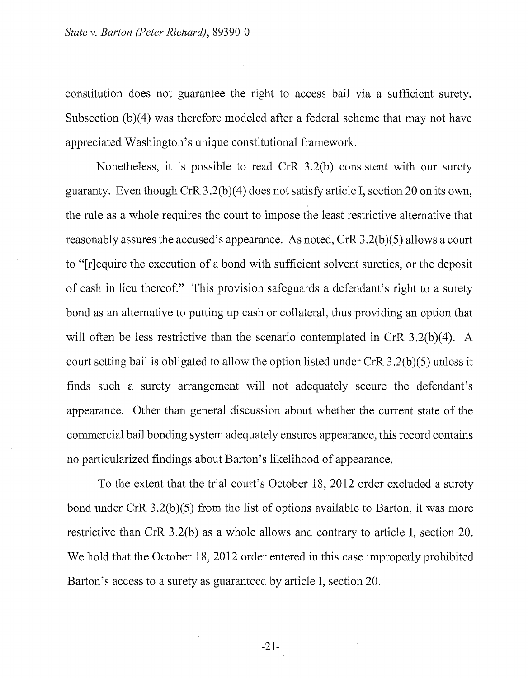constitution does not guarantee the right to access bail via a sufficient surety. Subsection  $(b)(4)$  was therefore modeled after a federal scheme that may not have appreciated Washington's unique constitutional framework.

Nonetheless, it is possible to read CrR 3 .2(b) consistent with our surety guaranty. Even though CrR  $3.2(b)(4)$  does not satisfy article I, section 20 on its own, the rule as a whole requires the court to impose the least restrictive alternative that reasonably assures the accused's appearance. As noted,  $CrR$  3.2(b)(5) allows a court to "[r]equire the execution of a bond with sufficient solvent sureties, or the deposit of cash in lieu thereof." This provision safeguards a defendant's right to a surety bond as an alternative to putting up cash or collateral, thus providing an option that will often be less restrictive than the scenario contemplated in CrR 3.2(b)(4). A court setting bail is obligated to allow the option listed under CrR 3.2(b)(5) unless it finds such a surety arrangement will not adequately secure the defendant's appearance. Other than general discussion about whether the current state of the commercial bail bonding system adequately ensures appearance, this record contains no particularized findings about Barton's likelihood of appearance.

To the extent that the trial court's October 18, 2012 order excluded a surety bond under CrR 3.2(b)(5) from the list of options available to Barton, it was more restrictive than CrR 3.2(b) as a whole allows and contrary to article I, section 20. We hold that the October 18, 2012 order entered in this case improperly prohibited Barton's access to a surety as guaranteed by article I, section 20.

-21-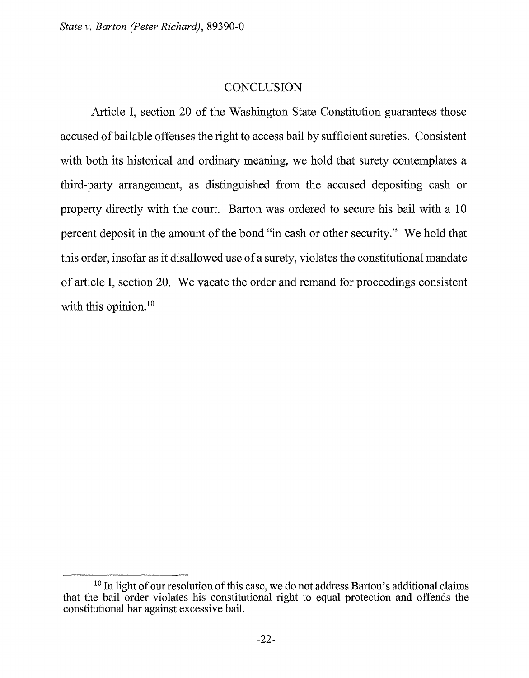## **CONCLUSION**

Article I, section 20 of the Washington State Constitution guarantees those accused ofbailable offenses the right to access bail by sufficient sureties. Consistent with both its historical and ordinary meaning, we hold that surety contemplates a third-party arrangement, as distinguished from the accused depositing cash or property directly with the court. Barton was ordered to secure his bail with a 10 percent deposit in the amount of the bond "in cash or other security." We hold that this order, insofar as it disallowed use of a surety, violates the constitutional mandate of article I, section 20. We vacate the order and remand for proceedings consistent with this opinion.<sup>10</sup>

<sup>&</sup>lt;sup>10</sup> In light of our resolution of this case, we do not address Barton's additional claims that the bail order violates his constitutional right to equal protection and offends the constitutional bar against excessive bail.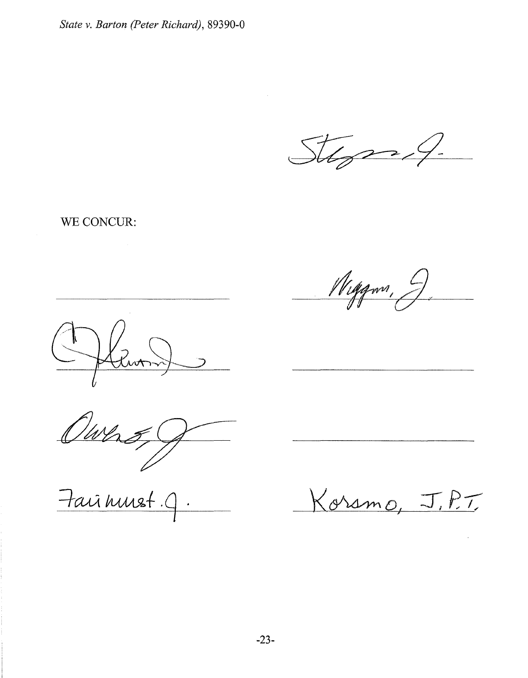Stepsof

WE CONCUR:

Wiggwn, 9



Owns

Fairnust.9

Koramo, J.P.T.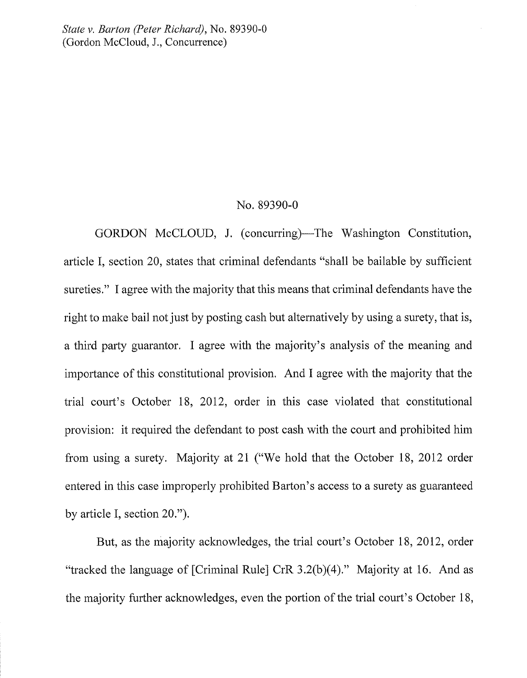*State v. Barton (Peter Richard),* No. 89390-0 (Gordon McCloud, J., Concurrence)

#### No. 89390-0

GORDON McCLOUD, J. (concurring)—The Washington Constitution, article I, section 20, states that criminal defendants "shall be bailable by sufficient sureties." I agree with the majority that this means that criminal defendants have the right to make bail not just by posting cash but alternatively by using a surety, that is, a third party guarantor. I agree with the majority's analysis of the meaning and importance of this constitutional provision. And I agree with the majority that the trial court's October 18, 2012, order in this case violated that constitutional provision: it required the defendant to post cash with the court and prohibited him from using a surety. Majority at 21 ("We hold that the October 18, 2012 order entered in this case improperly prohibited Barton's access to a surety as guaranteed by article I, section 20.").

But, as the majority acknowledges, the trial court's October 18, 2012, order "tracked the language of [Criminal Rule] CrR 3.2(b)(4)." Majority at 16. And as the majority further acknowledges, even the portion of the trial court's October 18,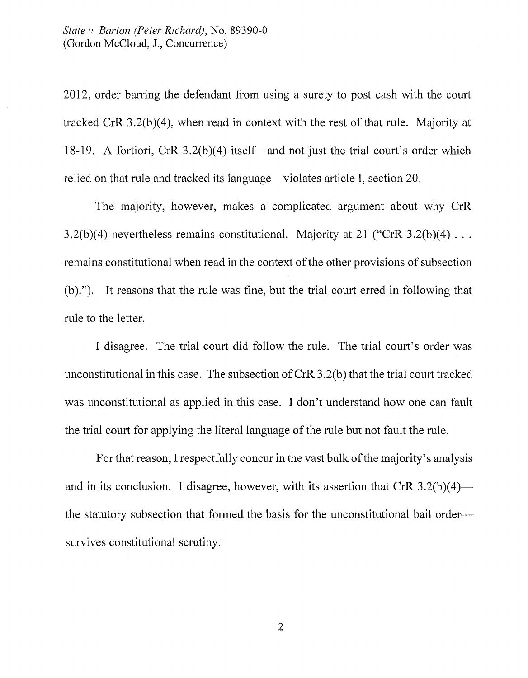2012, order barring the defendant from using a surety to post cash with the court tracked CrR  $3.2(b)(4)$ , when read in context with the rest of that rule. Majority at 18-19. A fortiori, CrR 3.2(b)(4) itself—and not just the trial court's order which relied on that rule and tracked its language—violates article I, section 20.

The majority, however, makes a complicated argument about why CrR 3.2(b)(4) nevertheless remains constitutional. Majority at 21 ("CrR 3.2(b)(4)  $\dots$ remains constitutional when read in the context of the other provisions of subsection (b)."). It reasons that the rule was fine, but the trial court erred in following that rule to the letter.

I disagree. The trial court did follow the rule. The trial court's order was unconstitutional in this case. The subsection of CrR 3 .2(b) that the trial court tracked was unconstitutional as applied in this case. I don't understand how one can fault the trial court for applying the literal language of the rule but not fault the rule.

For that reason, I respectfully concur in the vast bulk of the majority's analysis and in its conclusion. I disagree, however, with its assertion that  $CrR$  3.2(b)(4) the statutory subsection that formed the basis for the unconstitutional bail ordersurvives constitutional scrutiny.